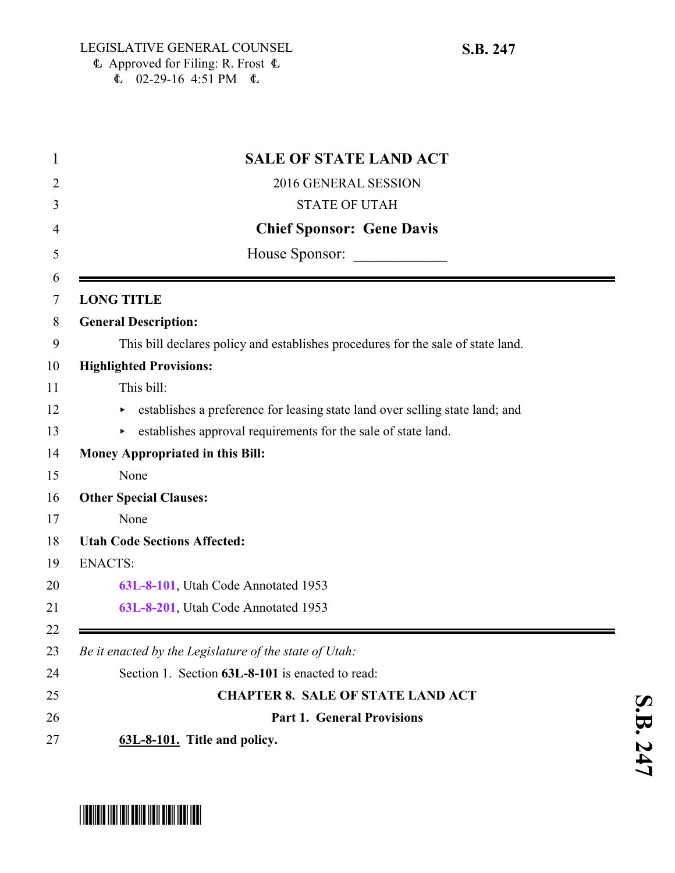| 1  | <b>SALE OF STATE LAND ACT</b>                                                    |
|----|----------------------------------------------------------------------------------|
| 2  | 2016 GENERAL SESSION                                                             |
| 3  | <b>STATE OF UTAH</b>                                                             |
| 4  | <b>Chief Sponsor: Gene Davis</b>                                                 |
| 5  | House Sponsor:                                                                   |
| 6  |                                                                                  |
| 7  | <b>LONG TITLE</b>                                                                |
| 8  | <b>General Description:</b>                                                      |
| 9  | This bill declares policy and establishes procedures for the sale of state land. |
| 10 | <b>Highlighted Provisions:</b>                                                   |
| 11 | This bill:                                                                       |
| 12 | establishes a preference for leasing state land over selling state land; and     |
| 13 | establishes approval requirements for the sale of state land.                    |
| 14 | Money Appropriated in this Bill:                                                 |
| 15 | None                                                                             |
| 16 | <b>Other Special Clauses:</b>                                                    |
| 17 | None                                                                             |
| 18 | <b>Utah Code Sections Affected:</b>                                              |
| 19 | <b>ENACTS:</b>                                                                   |
| 20 | 63L-8-101, Utah Code Annotated 1953                                              |
| 21 | 63L-8-201, Utah Code Annotated 1953                                              |
| 22 |                                                                                  |
| 23 | Be it enacted by the Legislature of the state of Utah:                           |
| 24 | Section 1. Section 63L-8-101 is enacted to read:                                 |
| 25 | <b>CHAPTER 8. SALE OF STATE LAND ACT</b>                                         |
| 26 | <b>Part 1. General Provisions</b>                                                |
| 27 | 63L-8-101. Title and policy.                                                     |

## <span id="page-0-0"></span>\*SB0247\*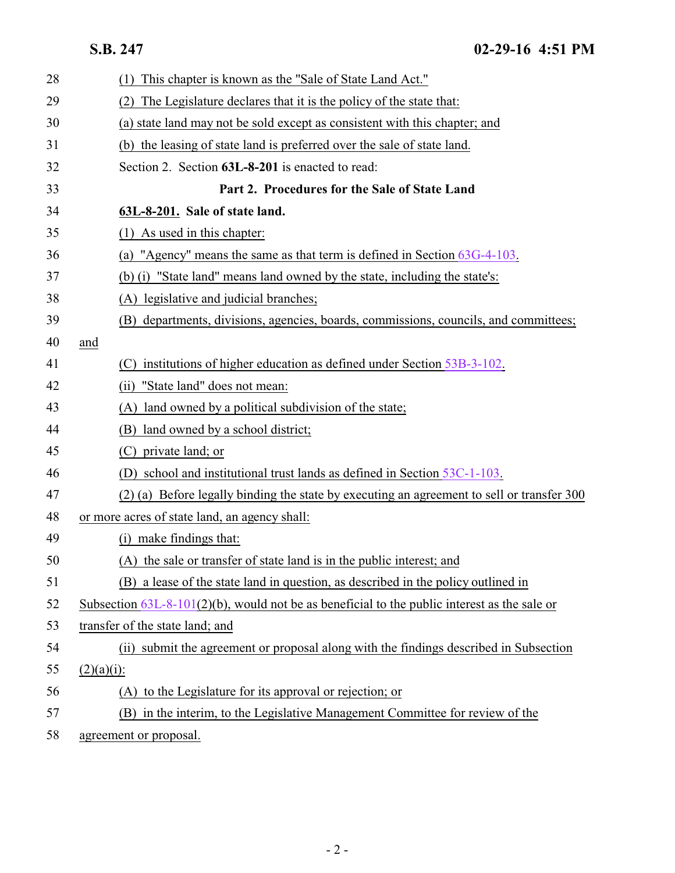<span id="page-1-0"></span>**S.B. 247 02-29-16 4:51 PM**

| 28 | This chapter is known as the "Sale of State Land Act."<br>(1)                                   |
|----|-------------------------------------------------------------------------------------------------|
| 29 | The Legislature declares that it is the policy of the state that:<br>(2)                        |
| 30 | (a) state land may not be sold except as consistent with this chapter; and                      |
| 31 | (b) the leasing of state land is preferred over the sale of state land.                         |
| 32 | Section 2. Section 63L-8-201 is enacted to read:                                                |
| 33 | Part 2. Procedures for the Sale of State Land                                                   |
| 34 | 63L-8-201. Sale of state land.                                                                  |
| 35 | As used in this chapter:<br>(1)                                                                 |
| 36 | "Agency" means the same as that term is defined in Section 63G-4-103.<br>(a)                    |
| 37 | (b) (i) "State land" means land owned by the state, including the state's:                      |
| 38 | (A) legislative and judicial branches;                                                          |
| 39 | (B) departments, divisions, agencies, boards, commissions, councils, and committees;            |
| 40 | and                                                                                             |
| 41 | institutions of higher education as defined under Section 53B-3-102.<br>(C)                     |
| 42 | "State land" does not mean:<br>(i)                                                              |
| 43 | (A) land owned by a political subdivision of the state;                                         |
| 44 | (B) land owned by a school district;                                                            |
| 45 | private land; or<br>(C).                                                                        |
| 46 | (D) school and institutional trust lands as defined in Section 53C-1-103.                       |
| 47 | (2) (a) Before legally binding the state by executing an agreement to sell or transfer 300      |
| 48 | or more acres of state land, an agency shall:                                                   |
| 49 | (i) make findings that:                                                                         |
| 50 | (A) the sale or transfer of state land is in the public interest; and                           |
| 51 | (B) a lease of the state land in question, as described in the policy outlined in               |
| 52 | Subsection $63L-8-101(2)(b)$ , would not be as beneficial to the public interest as the sale or |
| 53 | transfer of the state land; and                                                                 |
| 54 | (ii) submit the agreement or proposal along with the findings described in Subsection           |
| 55 | $(2)(a)(i)$ :                                                                                   |
| 56 | (A) to the Legislature for its approval or rejection; or                                        |
| 57 | (B) in the interim, to the Legislative Management Committee for review of the                   |
| 58 | agreement or proposal.                                                                          |